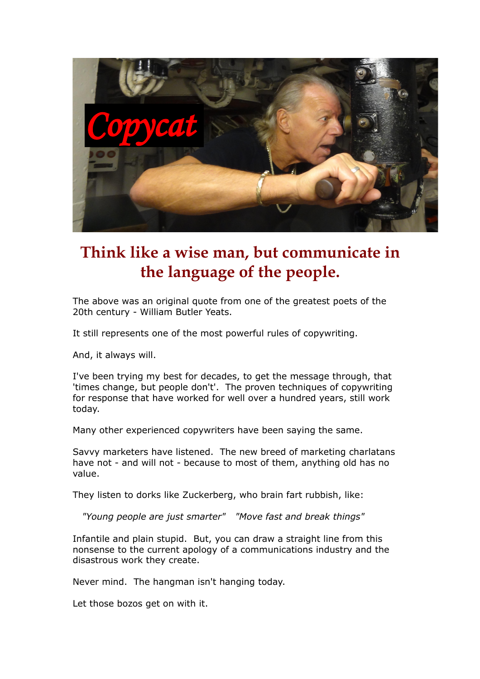

## **Think like a wise man, but communicate in the language of the people.**

The above was an original quote from one of the greatest poets of the 20th century - William Butler Yeats.

It still represents one of the most powerful rules of copywriting.

And, it always will.

I've been trying my best for decades, to get the message through, that 'times change, but people don't'. The proven techniques of copywriting for response that have worked for well over a hundred years, still work today.

Many other experienced copywriters have been saying the same.

Savvy marketers have listened. The new breed of marketing charlatans have not - and will not - because to most of them, anything old has no value.

They listen to dorks like Zuckerberg, who brain fart rubbish, like:

*"Young people are just smarter" "Move fast and break things"*

Infantile and plain stupid. But, you can draw a straight line from this nonsense to the current apology of a communications industry and the disastrous work they create.

Never mind. The hangman isn't hanging today.

Let those bozos get on with it.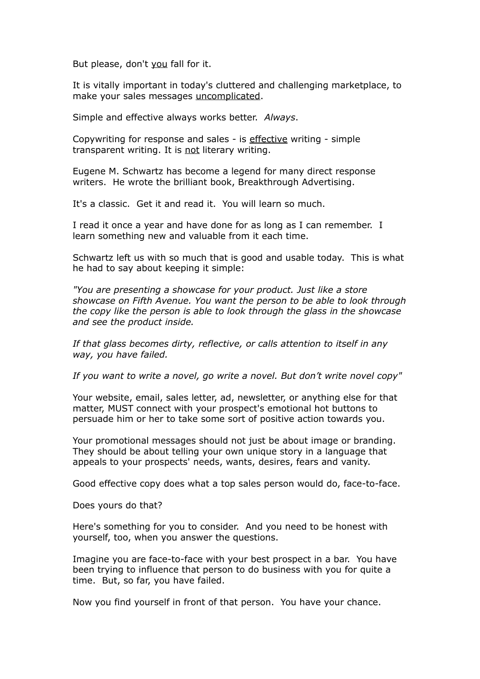But please, don't you fall for it.

It is vitally important in today's cluttered and challenging marketplace, to make your sales messages uncomplicated.

Simple and effective always works better. *Always*.

Copywriting for response and sales - is effective writing - simple transparent writing. It is not literary writing.

Eugene M. Schwartz has become a legend for many direct response writers. He wrote the brilliant book, Breakthrough Advertising.

It's a classic. Get it and read it. You will learn so much.

I read it once a year and have done for as long as I can remember. I learn something new and valuable from it each time.

Schwartz left us with so much that is good and usable today. This is what he had to say about keeping it simple:

*"You are presenting a showcase for your product. Just like a store showcase on Fifth Avenue. You want the person to be able to look through the copy like the person is able to look through the glass in the showcase and see the product inside.* 

*If that glass becomes dirty, reflective, or calls attention to itself in any way, you have failed.*

*If you want to write a novel, go write a novel. But don't write novel copy"*

Your website, email, sales letter, ad, newsletter, or anything else for that matter, MUST connect with your prospect's emotional hot buttons to persuade him or her to take some sort of positive action towards you.

Your promotional messages should not just be about image or branding. They should be about telling your own unique story in a language that appeals to your prospects' needs, wants, desires, fears and vanity.

Good effective copy does what a top sales person would do, face-to-face.

Does yours do that?

Here's something for you to consider. And you need to be honest with yourself, too, when you answer the questions.

Imagine you are face-to-face with your best prospect in a bar. You have been trying to influence that person to do business with you for quite a time. But, so far, you have failed.

Now you find yourself in front of that person. You have your chance.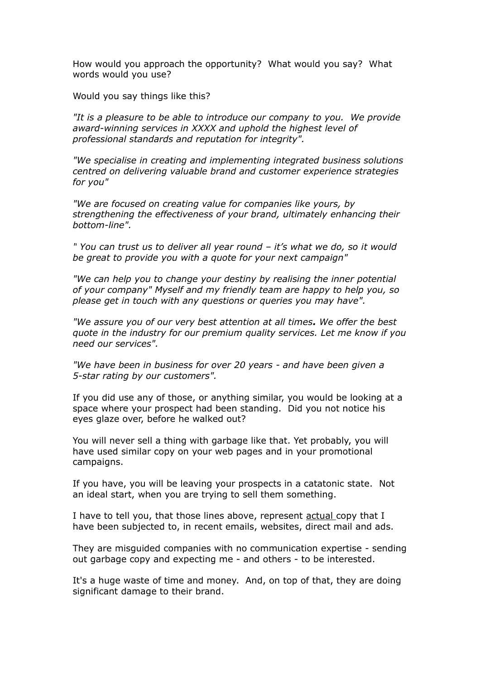How would you approach the opportunity? What would you say? What words would you use?

Would you say things like this?

*"It is a pleasure to be able to introduce our company to you. We provide award-winning services in XXXX and uphold the highest level of professional standards and reputation for integrity".*

*"We specialise in creating and implementing integrated business solutions centred on delivering valuable brand and customer experience strategies for you"*

*"We are focused on creating value for companies like yours, by strengthening the effectiveness of your brand, ultimately enhancing their bottom-line".*

*" You can trust us to deliver all year round – it's what we do, so it would be great to provide you with a quote for your next campaign"*

*"We can help you to change your destiny by realising the inner potential of your company" Myself and my friendly team are happy to help you, so please get in touch with any questions or queries you may have".*

*"We assure you of our very best attention at all times. We offer the best quote in the industry for our premium quality services. Let me know if you need our services".*

*"We have been in business for over 20 years - and have been given a 5-star rating by our customers".*

If you did use any of those, or anything similar, you would be looking at a space where your prospect had been standing. Did you not notice his eyes glaze over, before he walked out?

You will never sell a thing with garbage like that. Yet probably, you will have used similar copy on your web pages and in your promotional campaigns.

If you have, you will be leaving your prospects in a catatonic state. Not an ideal start, when you are trying to sell them something.

I have to tell you, that those lines above, represent actual copy that I have been subjected to, in recent emails, websites, direct mail and ads.

They are misguided companies with no communication expertise - sending out garbage copy and expecting me - and others - to be interested.

It's a huge waste of time and money. And, on top of that, they are doing significant damage to their brand.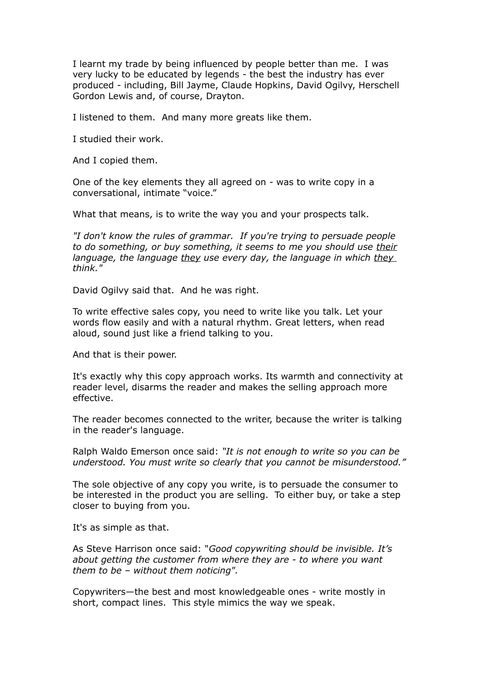I learnt my trade by being influenced by people better than me. I was very lucky to be educated by legends - the best the industry has ever produced - including, Bill Jayme, Claude Hopkins, David Ogilvy, Herschell Gordon Lewis and, of course, Drayton.

I listened to them. And many more greats like them.

I studied their work.

And I copied them.

One of the key elements they all agreed on - was to write copy in a conversational, intimate "voice."

What that means, is to write the way you and your prospects talk.

*"I don't know the rules of grammar. If you're trying to persuade people to do something, or buy something, it seems to me you should use their language, the language they use every day, the language in which they think."* 

David Ogilvy said that. And he was right.

To write effective sales copy, you need to write like you talk. Let your words flow easily and with a natural rhythm. Great letters, when read aloud, sound just like a friend talking to you.

And that is their power.

It's exactly why this copy approach works. Its warmth and connectivity at reader level, disarms the reader and makes the selling approach more effective.

The reader becomes connected to the writer, because the writer is talking in the reader's language.

Ralph Waldo Emerson once said: *"It is not enough to write so you can be understood. You must write so clearly that you cannot be misunderstood."*

The sole objective of any copy you write, is to persuade the consumer to be interested in the product you are selling. To either buy, or take a step closer to buying from you.

It's as simple as that.

As Steve Harrison once said: "*Good copywriting should be invisible. It's about getting the customer from where they are - to where you want them to be – without them noticing".*

Copywriters—the best and most knowledgeable ones - write mostly in short, compact lines. This style mimics the way we speak.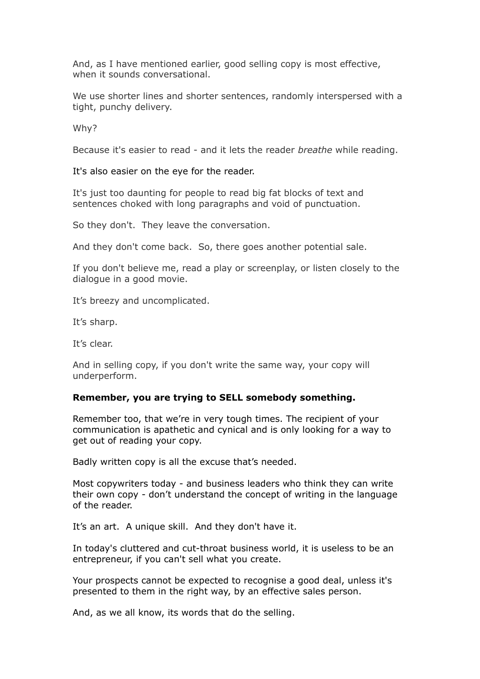And, as I have mentioned earlier, good selling copy is most effective, when it sounds conversational.

We use shorter lines and shorter sentences, randomly interspersed with a tight, punchy delivery.

Why?

Because it's easier to read - and it lets the reader *breathe* while reading.

It's also easier on the eye for the reader.

It's just too daunting for people to read big fat blocks of text and sentences choked with long paragraphs and void of punctuation.

So they don't. They leave the conversation.

And they don't come back. So, there goes another potential sale.

If you don't believe me, read a play or screenplay, or listen closely to the dialogue in a good movie.

It's breezy and uncomplicated.

It's sharp.

It's clear.

And in selling copy, if you don't write the same way, your copy will underperform.

## **Remember, you are trying to SELL somebody something.**

Remember too, that we're in very tough times. The recipient of your communication is apathetic and cynical and is only looking for a way to get out of reading your copy.

Badly written copy is all the excuse that's needed.

Most copywriters today - and business leaders who think they can write their own copy - don't understand the concept of writing in the language of the reader.

It's an art. A unique skill. And they don't have it.

In today's cluttered and cut-throat business world, it is useless to be an entrepreneur, if you can't sell what you create.

Your prospects cannot be expected to recognise a good deal, unless it's presented to them in the right way, by an effective sales person.

And, as we all know, its words that do the selling.